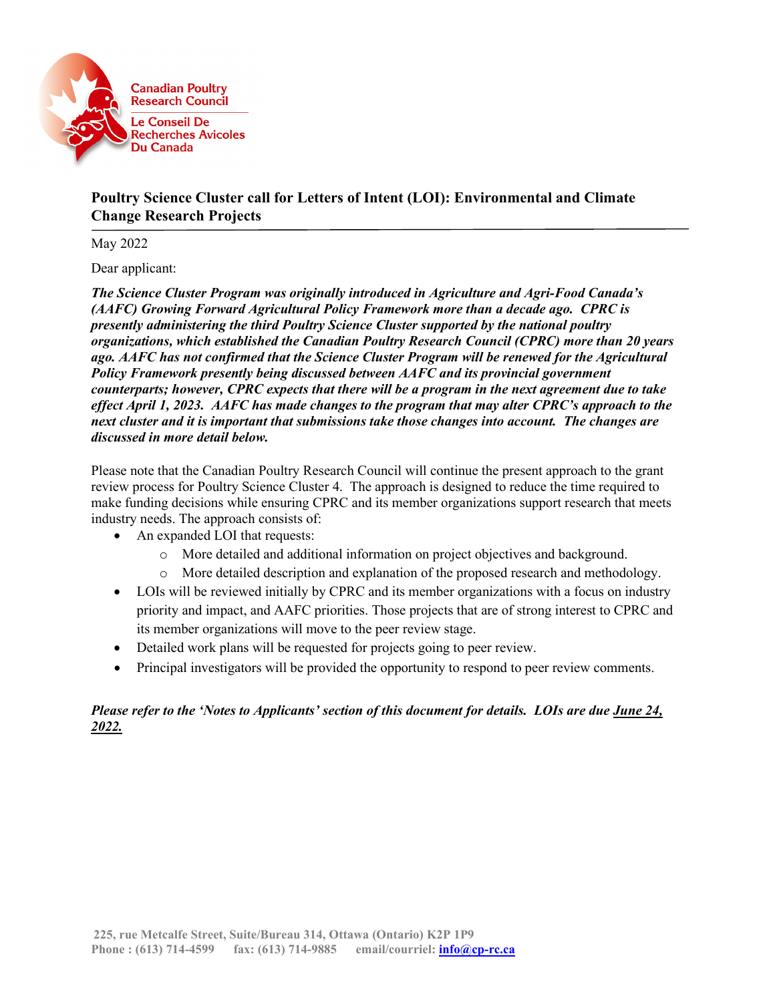

# **Poultry Science Cluster call for Letters of Intent (LOI): Environmental and Climate Change Research Projects**

May 2022

Dear applicant:

*The Science Cluster Program was originally introduced in Agriculture and Agri-Food Canada's (AAFC) Growing Forward Agricultural Policy Framework more than a decade ago. CPRC is presently administering the third Poultry Science Cluster supported by the national poultry organizations, which established the Canadian Poultry Research Council (CPRC) more than 20 years ago. AAFC has not confirmed that the Science Cluster Program will be renewed for the Agricultural Policy Framework presently being discussed between AAFC and its provincial government counterparts; however, CPRC expects that there will be a program in the next agreement due to take effect April 1, 2023. AAFC has made changes to the program that may alter CPRC's approach to the next cluster and it is important that submissions take those changes into account. The changes are discussed in more detail below.*

Please note that the Canadian Poultry Research Council will continue the present approach to the grant review process for Poultry Science Cluster 4. The approach is designed to reduce the time required to make funding decisions while ensuring CPRC and its member organizations support research that meets industry needs. The approach consists of:

- An expanded LOI that requests:
	- o More detailed and additional information on project objectives and background.
	- o More detailed description and explanation of the proposed research and methodology.
- LOIs will be reviewed initially by CPRC and its member organizations with a focus on industry priority and impact, and AAFC priorities. Those projects that are of strong interest to CPRC and its member organizations will move to the peer review stage.
- Detailed work plans will be requested for projects going to peer review.
- Principal investigators will be provided the opportunity to respond to peer review comments.

# *Please refer to the 'Notes to Applicants' section of this document for details. LOIs are due June 24, 2022.*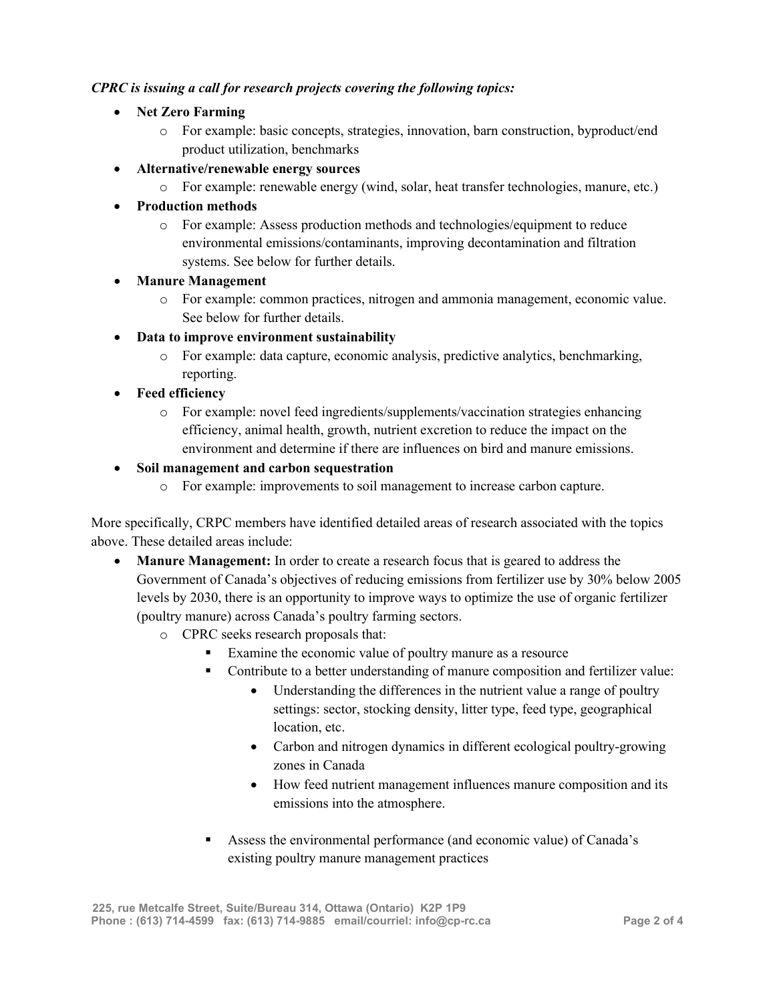## *CPRC is issuing a call for research projects covering the following topics:*

- **Net Zero Farming**
	- o For example: basic concepts, strategies, innovation, barn construction, byproduct/end product utilization, benchmarks
- **Alternative/renewable energy sources**
	- o For example: renewable energy (wind, solar, heat transfer technologies, manure, etc.)
- **Production methods**
	- o For example: Assess production methods and technologies/equipment to reduce environmental emissions/contaminants, improving decontamination and filtration systems. See below for further details.
- **Manure Management**
	- o For example: common practices, nitrogen and ammonia management, economic value. See below for further details.
- **Data to improve environment sustainability** 
	- o For example: data capture, economic analysis, predictive analytics, benchmarking, reporting.
- **Feed efficiency**
	- o For example: novel feed ingredients/supplements/vaccination strategies enhancing efficiency, animal health, growth, nutrient excretion to reduce the impact on the environment and determine if there are influences on bird and manure emissions.
- **Soil management and carbon sequestration**
	- o For example: improvements to soil management to increase carbon capture.

More specifically, CRPC members have identified detailed areas of research associated with the topics above. These detailed areas include:

- **Manure Management:** In order to create a research focus that is geared to address the Government of Canada's objectives of reducing emissions from fertilizer use by 30% below 2005 levels by 2030, there is an opportunity to improve ways to optimize the use of organic fertilizer (poultry manure) across Canada's poultry farming sectors.
	- o CPRC seeks research proposals that:
		- Examine the economic value of poultry manure as a resource
		- Contribute to a better understanding of manure composition and fertilizer value:
			- Understanding the differences in the nutrient value a range of poultry settings: sector, stocking density, litter type, feed type, geographical location, etc.
			- Carbon and nitrogen dynamics in different ecological poultry-growing zones in Canada
			- How feed nutrient management influences manure composition and its emissions into the atmosphere.
		- Assess the environmental performance (and economic value) of Canada's existing poultry manure management practices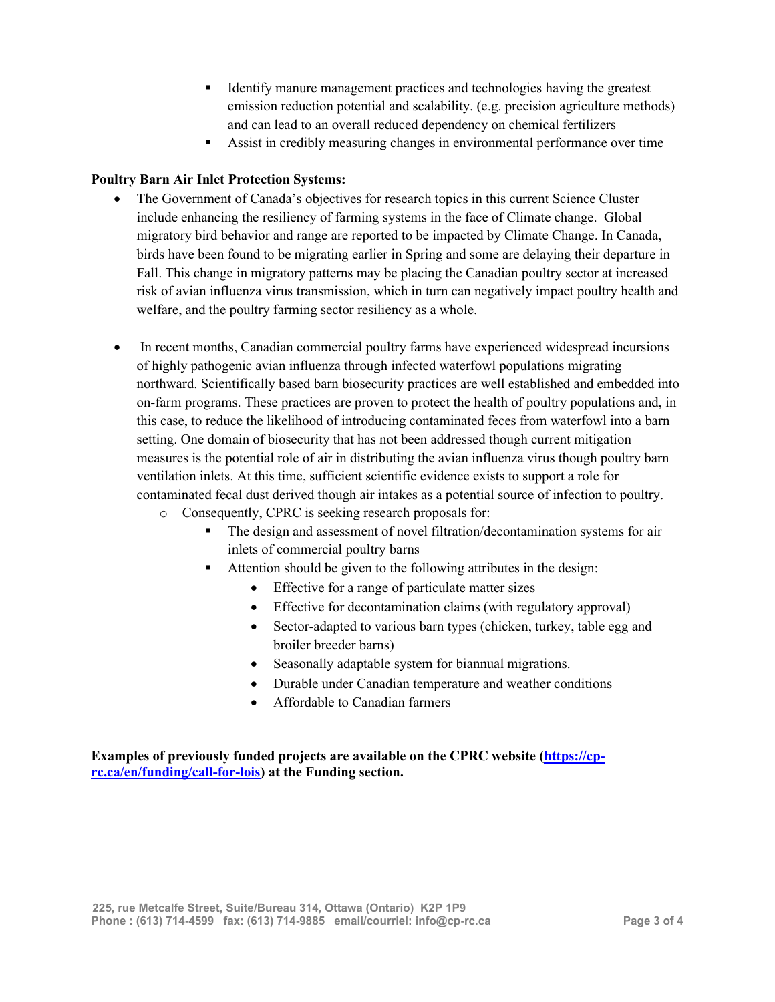- Identify manure management practices and technologies having the greatest emission reduction potential and scalability. (e.g. precision agriculture methods) and can lead to an overall reduced dependency on chemical fertilizers
- Assist in credibly measuring changes in environmental performance over time

### **Poultry Barn Air Inlet Protection Systems:**

- The Government of Canada's objectives for research topics in this current Science Cluster include enhancing the resiliency of farming systems in the face of Climate change. Global migratory bird behavior and range are reported to be impacted by Climate Change. In Canada, birds have been found to be migrating earlier in Spring and some are delaying their departure in Fall. This change in migratory patterns may be placing the Canadian poultry sector at increased risk of avian influenza virus transmission, which in turn can negatively impact poultry health and welfare, and the poultry farming sector resiliency as a whole.
- In recent months, Canadian commercial poultry farms have experienced widespread incursions of highly pathogenic avian influenza through infected waterfowl populations migrating northward. Scientifically based barn biosecurity practices are well established and embedded into on-farm programs. These practices are proven to protect the health of poultry populations and, in this case, to reduce the likelihood of introducing contaminated feces from waterfowl into a barn setting. One domain of biosecurity that has not been addressed though current mitigation measures is the potential role of air in distributing the avian influenza virus though poultry barn ventilation inlets. At this time, sufficient scientific evidence exists to support a role for contaminated fecal dust derived though air intakes as a potential source of infection to poultry.
	- o Consequently, CPRC is seeking research proposals for:
		- The design and assessment of novel filtration/decontamination systems for air inlets of commercial poultry barns
		- Attention should be given to the following attributes in the design:
			- Effective for a range of particulate matter sizes
			- Effective for decontamination claims (with regulatory approval)
			- Sector-adapted to various barn types (chicken, turkey, table egg and broiler breeder barns)
			- Seasonally adaptable system for biannual migrations.
			- Durable under Canadian temperature and weather conditions
			- Affordable to Canadian farmers

## **Examples of previously funded projects are available on the CPRC website [\(https://cp](https://cp-rc.ca/en/funding/call-for-lois)[rc.ca/en/funding/call-for-lois\)](https://cp-rc.ca/en/funding/call-for-lois) at the Funding section.**